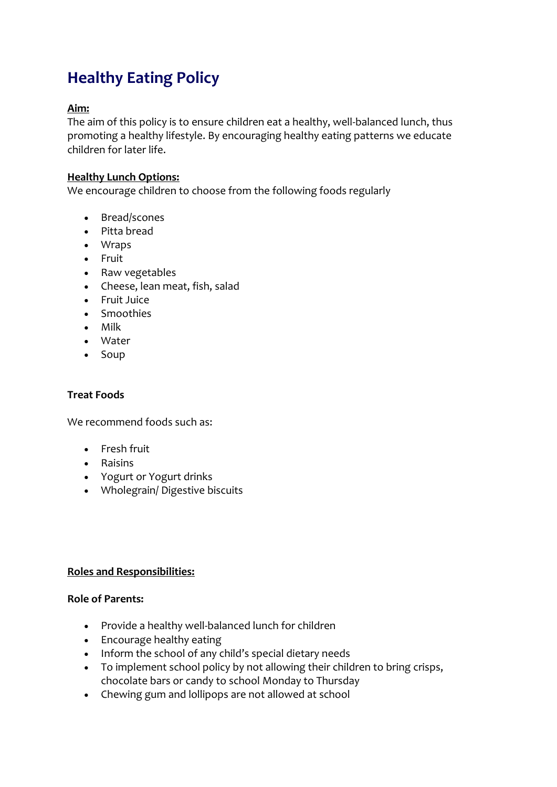# **Healthy Eating Policy**

# **Aim:**

The aim of this policy is to ensure children eat a healthy, well-balanced lunch, thus promoting a healthy lifestyle. By encouraging healthy eating patterns we educate children for later life.

## **Healthy Lunch Options:**

We encourage children to choose from the following foods regularly

- Bread/scones
- Pitta bread
- Wraps
- Fruit
- Raw vegetables
- Cheese, lean meat, fish, salad
- Fruit Juice
- Smoothies
- Milk
- Water
- Soup

#### **Treat Foods**

We recommend foods such as:

- **•** Fresh fruit
- Raisins
- Yogurt or Yogurt drinks
- Wholegrain/ Digestive biscuits

#### **Roles and Responsibilities:**

#### **Role of Parents:**

- Provide a healthy well-balanced lunch for children
- Encourage healthy eating
- Inform the school of any child's special dietary needs
- To implement school policy by not allowing their children to bring crisps, chocolate bars or candy to school Monday to Thursday
- Chewing gum and lollipops are not allowed at school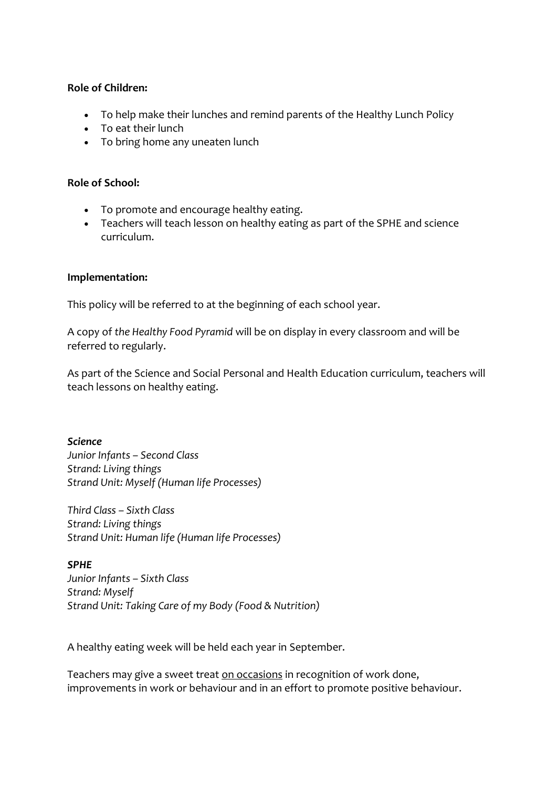## **Role of Children:**

- To help make their lunches and remind parents of the Healthy Lunch Policy
- To eat their lunch
- To bring home any uneaten lunch

## **Role of School:**

- To promote and encourage healthy eating.
- Teachers will teach lesson on healthy eating as part of the SPHE and science curriculum.

## **Implementation:**

This policy will be referred to at the beginning of each school year.

A copy of *the Healthy Food Pyramid* will be on display in every classroom and will be referred to regularly.

As part of the Science and Social Personal and Health Education curriculum, teachers will teach lessons on healthy eating.

*Science Junior Infants – Second Class Strand: Living things Strand Unit: Myself (Human life Processes)*

*Third Class – Sixth Class Strand: Living things Strand Unit: Human life (Human life Processes)*

#### *SPHE*

*Junior Infants – Sixth Class Strand: Myself Strand Unit: Taking Care of my Body (Food & Nutrition)*

A healthy eating week will be held each year in September.

Teachers may give a sweet treat on occasions in recognition of work done, improvements in work or behaviour and in an effort to promote positive behaviour.